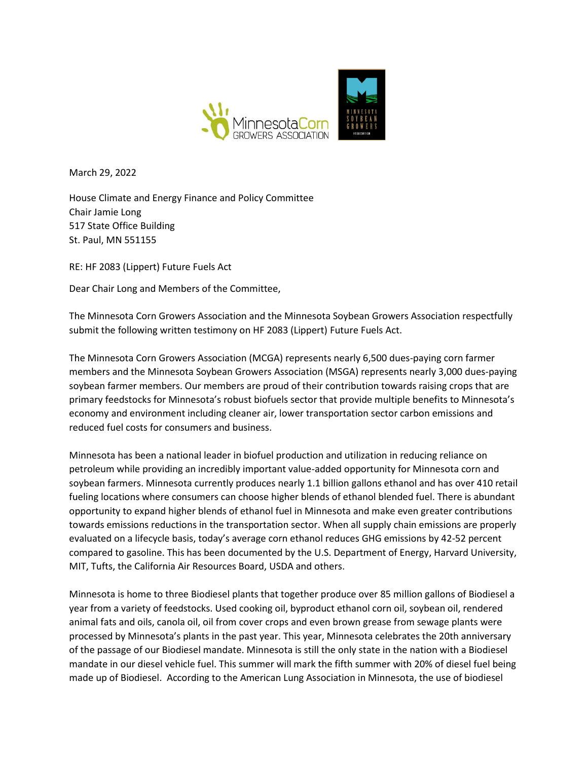

March 29, 2022

House Climate and Energy Finance and Policy Committee Chair Jamie Long 517 State Office Building St. Paul, MN 551155

RE: HF 2083 (Lippert) Future Fuels Act

Dear Chair Long and Members of the Committee,

The Minnesota Corn Growers Association and the Minnesota Soybean Growers Association respectfully submit the following written testimony on HF 2083 (Lippert) Future Fuels Act.

The Minnesota Corn Growers Association (MCGA) represents nearly 6,500 dues-paying corn farmer members and the Minnesota Soybean Growers Association (MSGA) represents nearly 3,000 dues-paying soybean farmer members. Our members are proud of their contribution towards raising crops that are primary feedstocks for Minnesota's robust biofuels sector that provide multiple benefits to Minnesota's economy and environment including cleaner air, lower transportation sector carbon emissions and reduced fuel costs for consumers and business.

Minnesota has been a national leader in biofuel production and utilization in reducing reliance on petroleum while providing an incredibly important value-added opportunity for Minnesota corn and soybean farmers. Minnesota currently produces nearly 1.1 billion gallons ethanol and has over 410 retail fueling locations where consumers can choose higher blends of ethanol blended fuel. There is abundant opportunity to expand higher blends of ethanol fuel in Minnesota and make even greater contributions towards emissions reductions in the transportation sector. When all supply chain emissions are properly evaluated on a lifecycle basis, today's average corn ethanol reduces GHG emissions by 42-52 percent compared to gasoline. This has been documented by the U.S. Department of Energy, Harvard University, MIT, Tufts, the California Air Resources Board, USDA and others.

Minnesota is home to three Biodiesel plants that together produce over 85 million gallons of Biodiesel a year from a variety of feedstocks. Used cooking oil, byproduct ethanol corn oil, soybean oil, rendered animal fats and oils, canola oil, oil from cover crops and even brown grease from sewage plants were processed by Minnesota's plants in the past year. This year, Minnesota celebrates the 20th anniversary of the passage of our Biodiesel mandate. Minnesota is still the only state in the nation with a Biodiesel mandate in our diesel vehicle fuel. This summer will mark the fifth summer with 20% of diesel fuel being made up of Biodiesel. According to the American Lung Association in Minnesota, the use of biodiesel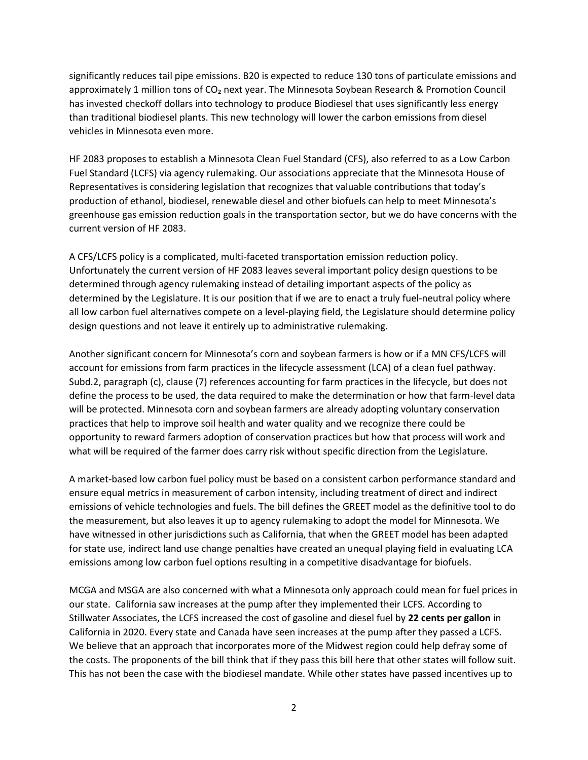significantly reduces tail pipe emissions. B20 is expected to reduce 130 tons of particulate emissions and approximately 1 million tons of CO<sub>2</sub> next year. The Minnesota Soybean Research & Promotion Council has invested checkoff dollars into technology to produce Biodiesel that uses significantly less energy than traditional biodiesel plants. This new technology will lower the carbon emissions from diesel vehicles in Minnesota even more.

HF 2083 proposes to establish a Minnesota Clean Fuel Standard (CFS), also referred to as a Low Carbon Fuel Standard (LCFS) via agency rulemaking. Our associations appreciate that the Minnesota House of Representatives is considering legislation that recognizes that valuable contributions that today's production of ethanol, biodiesel, renewable diesel and other biofuels can help to meet Minnesota's greenhouse gas emission reduction goals in the transportation sector, but we do have concerns with the current version of HF 2083.

A CFS/LCFS policy is a complicated, multi-faceted transportation emission reduction policy. Unfortunately the current version of HF 2083 leaves several important policy design questions to be determined through agency rulemaking instead of detailing important aspects of the policy as determined by the Legislature. It is our position that if we are to enact a truly fuel-neutral policy where all low carbon fuel alternatives compete on a level-playing field, the Legislature should determine policy design questions and not leave it entirely up to administrative rulemaking.

Another significant concern for Minnesota's corn and soybean farmers is how or if a MN CFS/LCFS will account for emissions from farm practices in the lifecycle assessment (LCA) of a clean fuel pathway. Subd.2, paragraph (c), clause (7) references accounting for farm practices in the lifecycle, but does not define the process to be used, the data required to make the determination or how that farm-level data will be protected. Minnesota corn and soybean farmers are already adopting voluntary conservation practices that help to improve soil health and water quality and we recognize there could be opportunity to reward farmers adoption of conservation practices but how that process will work and what will be required of the farmer does carry risk without specific direction from the Legislature.

A market-based low carbon fuel policy must be based on a consistent carbon performance standard and ensure equal metrics in measurement of carbon intensity, including treatment of direct and indirect emissions of vehicle technologies and fuels. The bill defines the GREET model as the definitive tool to do the measurement, but also leaves it up to agency rulemaking to adopt the model for Minnesota. We have witnessed in other jurisdictions such as California, that when the GREET model has been adapted for state use, indirect land use change penalties have created an unequal playing field in evaluating LCA emissions among low carbon fuel options resulting in a competitive disadvantage for biofuels.

MCGA and MSGA are also concerned with what a Minnesota only approach could mean for fuel prices in our state. California saw increases at the pump after they implemented their LCFS. According to Stillwater Associates, the LCFS increased the cost of gasoline and diesel fuel by **22 cents per gallon** in California in 2020. Every state and Canada have seen increases at the pump after they passed a LCFS. We believe that an approach that incorporates more of the Midwest region could help defray some of the costs. The proponents of the bill think that if they pass this bill here that other states will follow suit. This has not been the case with the biodiesel mandate. While other states have passed incentives up to